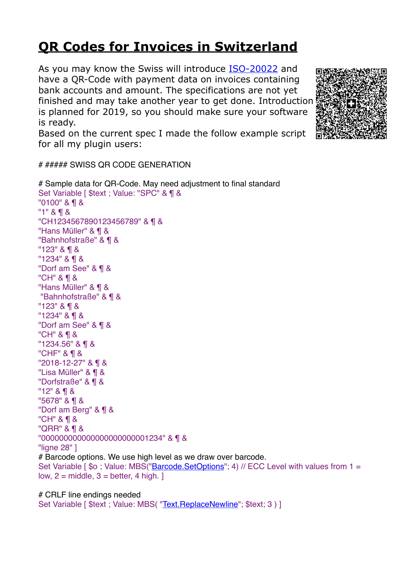## **[QR Codes for Invoices in Switzerland](https://www.mbs-plugins.com/archive/2017-12-20/QR_Codes_for_Invoices_in_Switz/monkeybreadsoftware_blog_filemaker)**

As you may know the Swiss will introduce [ISO-20022](https://www.iso-20022.ch/lexikon/swiss-qr-code/) and have a QR-Code with payment data on invoices containing bank accounts and amount. The specifications are not yet finished and may take another year to get done. Introduction is planned for 2019, so you should make sure your software is ready.

Based on the current spec I made the follow example script for all my plugin users:

# ##### SWISS QR CODE GENERATION

```
# Sample data for QR-Code. May need adjustment to final standard
Set Variable [ $text ; Value: "SPC" & ¶ &
"0100" & ¶ &
"1" & ¶ &
"CH1234567890123456789" & ¶ &
"Hans Müller" & ¶ &
"Bahnhofstraße" & ¶ &
"123" & ¶ &
"1234" & ¶ &
"Dorf am See" & ¶ &
"CH" & ¶ &
"Hans Müller" & ¶ &
"Bahnhofstraße" & ¶ &
"123" & ¶ &
"1234" & ¶ &
"Dorf am See" & ¶ &
"CH" & ¶ &
"1234.56" & ¶ &
"CHF" & ¶ &
"2018-12-27" & ¶ &
"Lisa Müller" & ¶ &
"Dorfstraße" & ¶ &
"12" & ¶ &
"5678" & ¶ &
"Dorf am Berg" & ¶ &
"CH" & ¶ &
"QRR" & ¶ &
"000000000000000000000001234" & ¶ &
"ligne 28" ]
# Barcode options. We use high level as we draw over barcode.
"Barcode.SetOptions"; 4) // ECC Level with values from 1 =
low, 2 = middle, 3 = better, 4 high.
```
# CRLF line endings needed Set Variable [ \$text ; Value: MBS( "Text. ReplaceNewline"; \$text; 3 ) ]